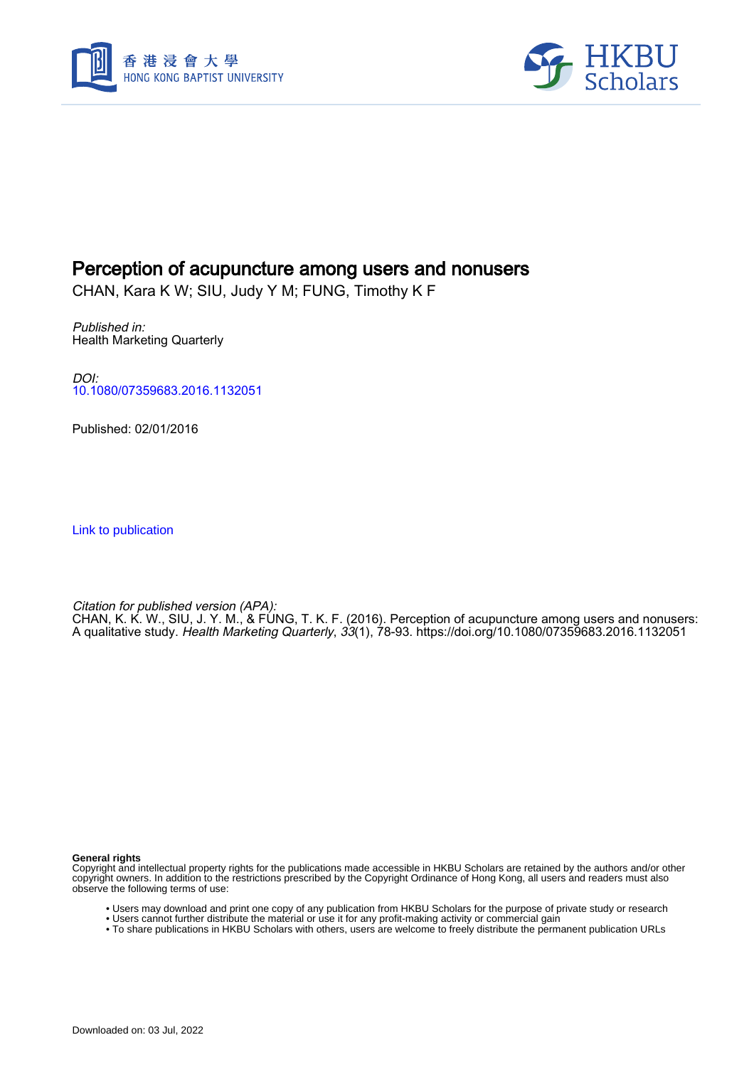



# Perception of acupuncture among users and nonusers

CHAN, Kara K W; SIU, Judy Y M; FUNG, Timothy K F

Published in: Health Marketing Quarterly

DOI: [10.1080/07359683.2016.1132051](https://doi.org/10.1080/07359683.2016.1132051)

Published: 02/01/2016

[Link to publication](https://scholars.hkbu.edu.hk/en/publications/04e09863-c5cd-44ca-bb00-8ef181115a6a)

Citation for published version (APA):

CHAN, K. K. W., SIU, J. Y. M., & FUNG, T. K. F. (2016). Perception of acupuncture among users and nonusers: A qualitative study. Health Marketing Quarterly, 33(1), 78-93. <https://doi.org/10.1080/07359683.2016.1132051>

**General rights**

Copyright and intellectual property rights for the publications made accessible in HKBU Scholars are retained by the authors and/or other copyright owners. In addition to the restrictions prescribed by the Copyright Ordinance of Hong Kong, all users and readers must also observe the following terms of use:

- Users may download and print one copy of any publication from HKBU Scholars for the purpose of private study or research
- Users cannot further distribute the material or use it for any profit-making activity or commercial gain
- To share publications in HKBU Scholars with others, users are welcome to freely distribute the permanent publication URLs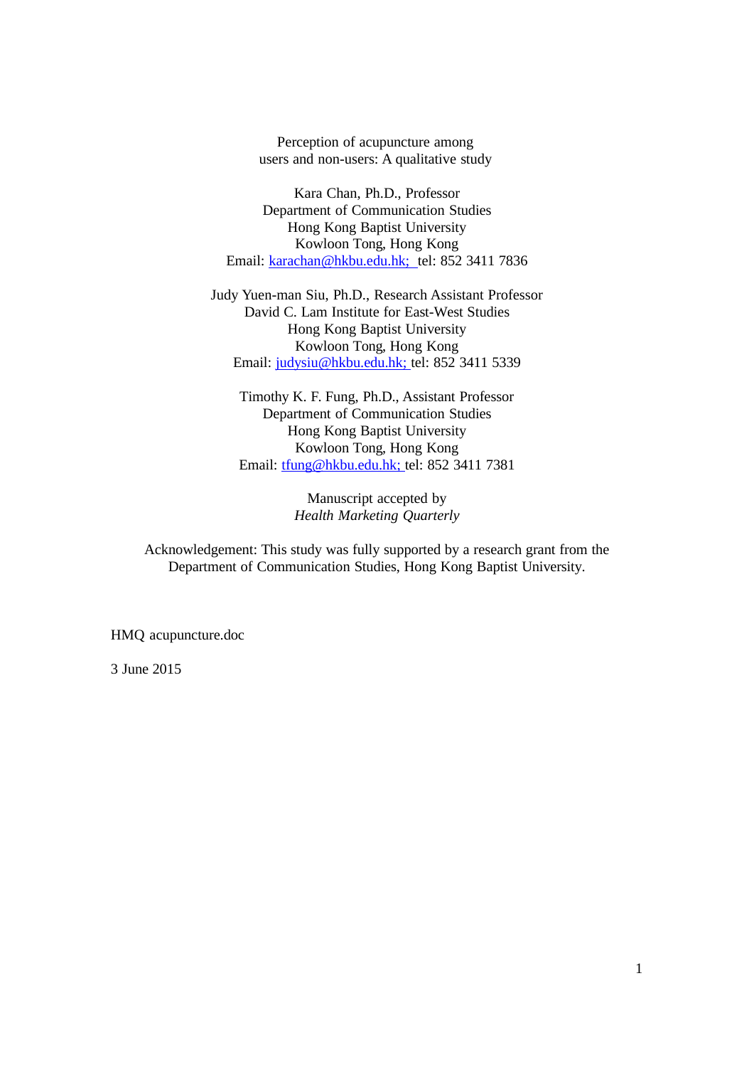Perception of acupuncture among users and non-users: A qualitative study

Kara Chan, Ph.D., Professor Department of Communication Studies Hong Kong Baptist University Kowloon Tong, Hong Kong Email: karachan@hkbu.edu.hk; tel: 852 3411 7836

Judy Yuen-man Siu, Ph.D., Research Assistant Professor David C. Lam Institute for East-West Studies Hong Kong Baptist University Kowloon Tong, Hong Kong Email: judysiu@hkbu.edu.hk; tel: 852 3411 5339

Timothy K. F. Fung, Ph.D., Assistant Professor Department of Communication Studies Hong Kong Baptist University Kowloon Tong, Hong Kong Email: tfung@hkbu.edu.hk; tel: 852 3411 7381

> Manuscript accepted by *Health Marketing Quarterly*

Acknowledgement: This study was fully supported by a research grant from the Department of Communication Studies, Hong Kong Baptist University.

HMQ acupuncture.doc

3 June 2015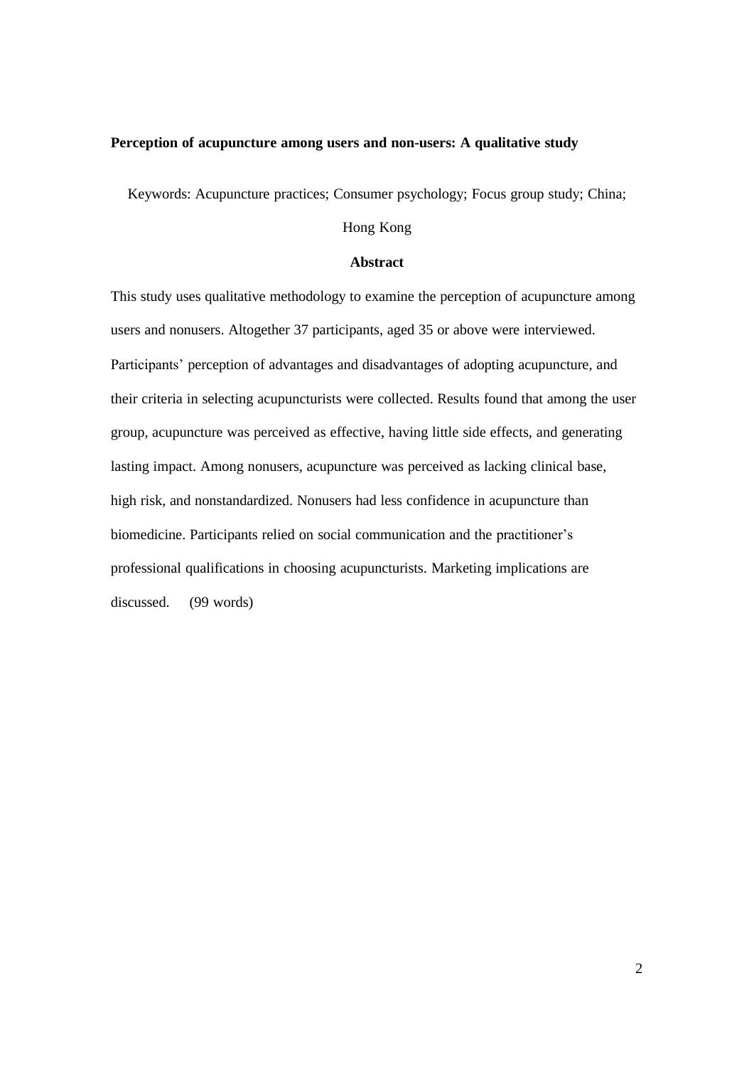# **Perception of acupuncture among users and non-users: A qualitative study**

Keywords: Acupuncture practices; Consumer psychology; Focus group study; China;

# Hong Kong

#### **Abstract**

This study uses qualitative methodology to examine the perception of acupuncture among users and nonusers. Altogether 37 participants, aged 35 or above were interviewed. Participants' perception of advantages and disadvantages of adopting acupuncture, and their criteria in selecting acupuncturists were collected. Results found that among the user group, acupuncture was perceived as effective, having little side effects, and generating lasting impact. Among nonusers, acupuncture was perceived as lacking clinical base, high risk, and nonstandardized. Nonusers had less confidence in acupuncture than biomedicine. Participants relied on social communication and the practitioner's professional qualifications in choosing acupuncturists. Marketing implications are discussed. (99 words)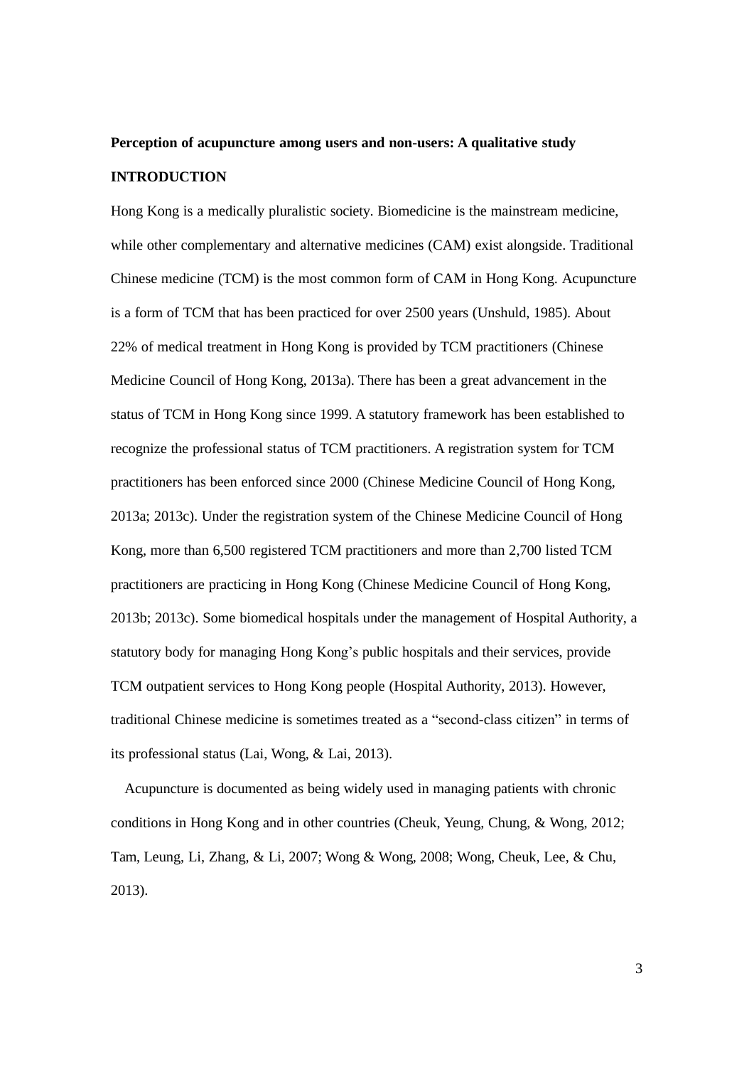# **Perception of acupuncture among users and non-users: A qualitative study INTRODUCTION**

Hong Kong is a medically pluralistic society. Biomedicine is the mainstream medicine, while other complementary and alternative medicines (CAM) exist alongside. Traditional Chinese medicine (TCM) is the most common form of CAM in Hong Kong. Acupuncture is a form of TCM that has been practiced for over 2500 years (Unshuld, 1985). About 22% of medical treatment in Hong Kong is provided by TCM practitioners (Chinese Medicine Council of Hong Kong, 2013a). There has been a great advancement in the status of TCM in Hong Kong since 1999. A statutory framework has been established to recognize the professional status of TCM practitioners. A registration system for TCM practitioners has been enforced since 2000 (Chinese Medicine Council of Hong Kong, 2013a; 2013c). Under the registration system of the Chinese Medicine Council of Hong Kong, more than 6,500 registered TCM practitioners and more than 2,700 listed TCM practitioners are practicing in Hong Kong (Chinese Medicine Council of Hong Kong, 2013b; 2013c). Some biomedical hospitals under the management of Hospital Authority, a statutory body for managing Hong Kong's public hospitals and their services, provide TCM outpatient services to Hong Kong people (Hospital Authority, 2013). However, traditional Chinese medicine is sometimes treated as a "second-class citizen" in terms of its professional status (Lai, Wong, & Lai, 2013).

Acupuncture is documented as being widely used in managing patients with chronic conditions in Hong Kong and in other countries (Cheuk, Yeung, Chung, & Wong, 2012; Tam, Leung, Li, Zhang, & Li, 2007; Wong & Wong, 2008; Wong, Cheuk, Lee, & Chu, 2013).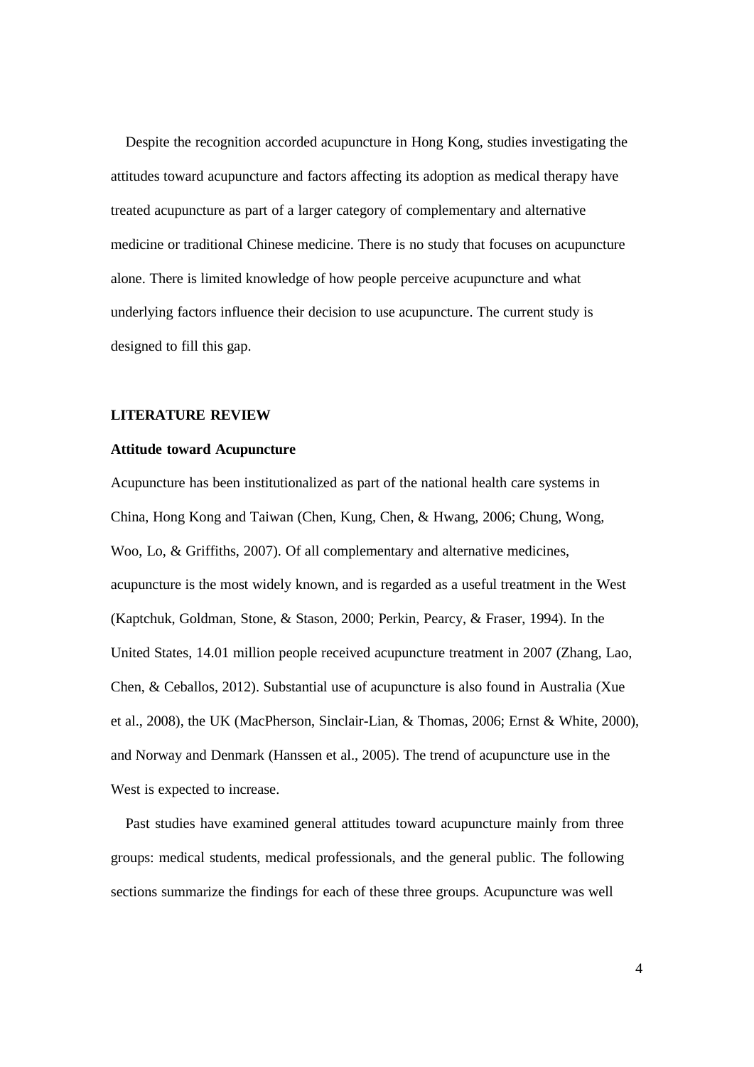Despite the recognition accorded acupuncture in Hong Kong, studies investigating the attitudes toward acupuncture and factors affecting its adoption as medical therapy have treated acupuncture as part of a larger category of complementary and alternative medicine or traditional Chinese medicine. There is no study that focuses on acupuncture alone. There is limited knowledge of how people perceive acupuncture and what underlying factors influence their decision to use acupuncture. The current study is designed to fill this gap.

#### **LITERATURE REVIEW**

#### **Attitude toward Acupuncture**

Acupuncture has been institutionalized as part of the national health care systems in China, Hong Kong and Taiwan (Chen, Kung, Chen, & Hwang, 2006; Chung, Wong, Woo, Lo, & Griffiths, 2007). Of all complementary and alternative medicines, acupuncture is the most widely known, and is regarded as a useful treatment in the West (Kaptchuk, Goldman, Stone, & Stason, 2000; Perkin, Pearcy, & Fraser, 1994). In the United States, 14.01 million people received acupuncture treatment in 2007 (Zhang, Lao, Chen, & Ceballos, 2012). Substantial use of acupuncture is also found in Australia (Xue et al., 2008), the UK (MacPherson, Sinclair-Lian, & Thomas, 2006; Ernst & White, 2000), and Norway and Denmark (Hanssen et al., 2005). The trend of acupuncture use in the West is expected to increase.

Past studies have examined general attitudes toward acupuncture mainly from three groups: medical students, medical professionals, and the general public. The following sections summarize the findings for each of these three groups. Acupuncture was well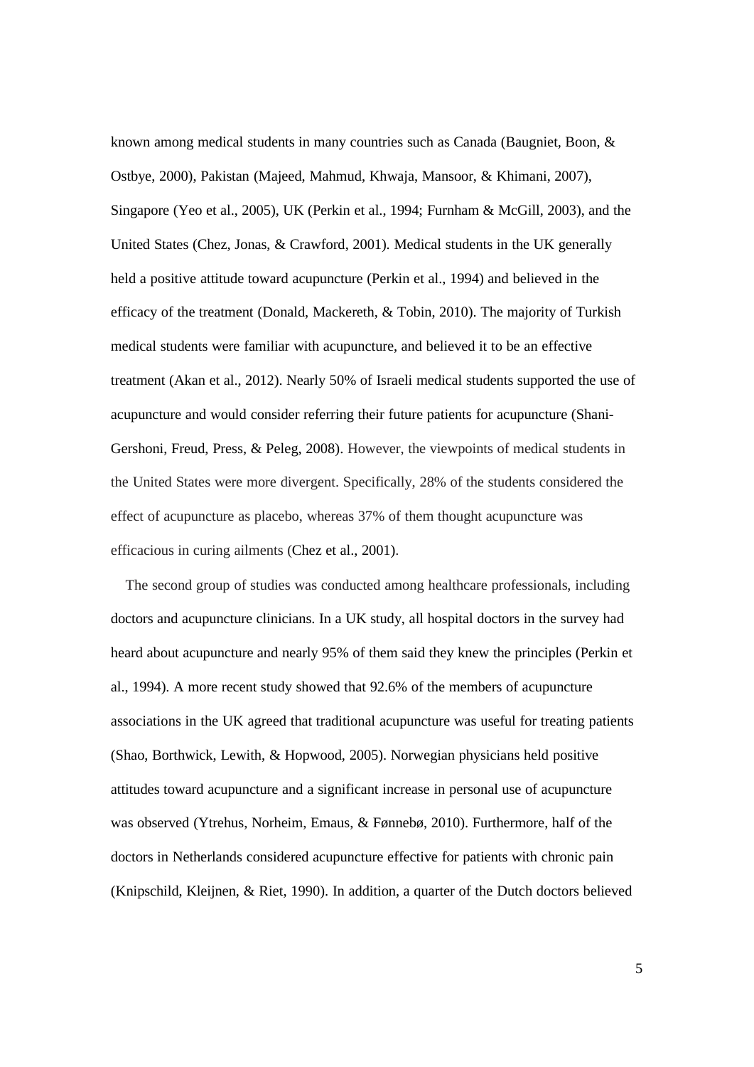known among medical students in many countries such as Canada (Baugniet, Boon, & Ostbye, 2000), Pakistan (Majeed, Mahmud, Khwaja, Mansoor, & Khimani, 2007), Singapore (Yeo et al., 2005), UK (Perkin et al., 1994; Furnham & McGill, 2003), and the United States (Chez, Jonas, & Crawford, 2001). Medical students in the UK generally held a positive attitude toward acupuncture (Perkin et al., 1994) and believed in the efficacy of the treatment (Donald, Mackereth, & Tobin, 2010). The majority of Turkish medical students were familiar with acupuncture, and believed it to be an effective treatment (Akan et al., 2012). Nearly 50% of Israeli medical students supported the use of acupuncture and would consider referring their future patients for acupuncture (Shani-Gershoni, Freud, Press, & Peleg, 2008). However, the viewpoints of medical students in the United States were more divergent. Specifically, 28% of the students considered the effect of acupuncture as placebo, whereas 37% of them thought acupuncture was efficacious in curing ailments (Chez et al., 2001).

The second group of studies was conducted among healthcare professionals, including doctors and acupuncture clinicians. In a UK study, all hospital doctors in the survey had heard about acupuncture and nearly 95% of them said they knew the principles (Perkin et al., 1994). A more recent study showed that 92.6% of the members of acupuncture associations in the UK agreed that traditional acupuncture was useful for treating patients (Shao, Borthwick, Lewith, & Hopwood, 2005). Norwegian physicians held positive attitudes toward acupuncture and a significant increase in personal use of acupuncture was observed (Ytrehus, Norheim, Emaus, & Fønnebø, 2010). Furthermore, half of the doctors in Netherlands considered acupuncture effective for patients with chronic pain (Knipschild, Kleijnen, & Riet, 1990). In addition, a quarter of the Dutch doctors believed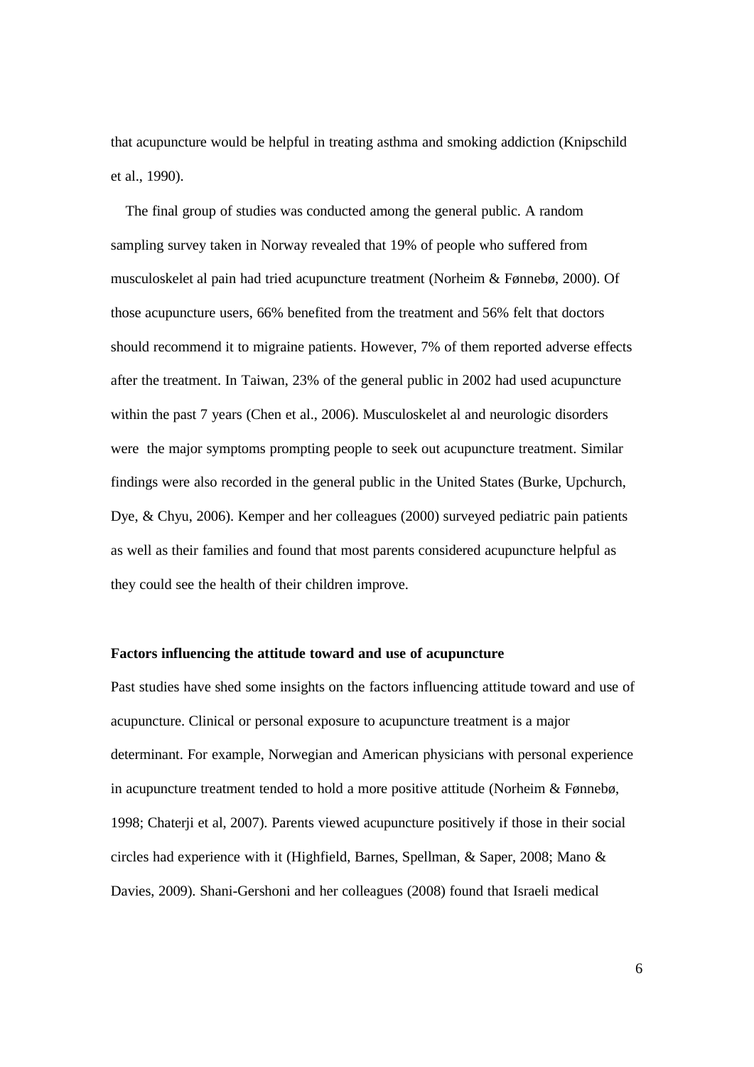that acupuncture would be helpful in treating asthma and smoking addiction (Knipschild et al., 1990).

The final group of studies was conducted among the general public. A random sampling survey taken in Norway revealed that 19% of people who suffered from musculoskelet al pain had tried acupuncture treatment (Norheim & Fønnebø, 2000). Of those acupuncture users, 66% benefited from the treatment and 56% felt that doctors should recommend it to migraine patients. However, 7% of them reported adverse effects after the treatment. In Taiwan, 23% of the general public in 2002 had used acupuncture within the past 7 years (Chen et al., 2006). Musculoskelet al and neurologic disorders were the major symptoms prompting people to seek out acupuncture treatment. Similar findings were also recorded in the general public in the United States (Burke, Upchurch, Dye, & Chyu, 2006). Kemper and her colleagues (2000) surveyed pediatric pain patients as well as their families and found that most parents considered acupuncture helpful as they could see the health of their children improve.

#### **Factors influencing the attitude toward and use of acupuncture**

Past studies have shed some insights on the factors influencing attitude toward and use of acupuncture. Clinical or personal exposure to acupuncture treatment is a major determinant. For example, Norwegian and American physicians with personal experience in acupuncture treatment tended to hold a more positive attitude (Norheim & Fønnebø, 1998; Chaterji et al, 2007). Parents viewed acupuncture positively if those in their social circles had experience with it (Highfield, Barnes, Spellman, & Saper, 2008; Mano & Davies, 2009). Shani-Gershoni and her colleagues (2008) found that Israeli medical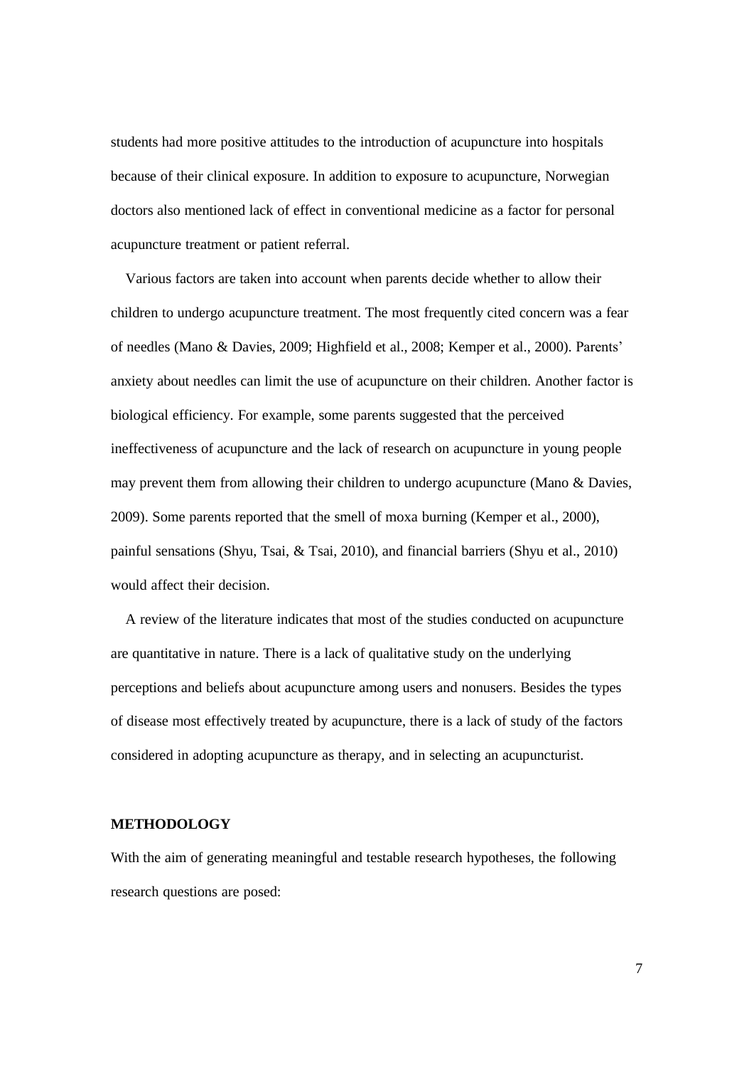students had more positive attitudes to the introduction of acupuncture into hospitals because of their clinical exposure. In addition to exposure to acupuncture, Norwegian doctors also mentioned lack of effect in conventional medicine as a factor for personal acupuncture treatment or patient referral.

Various factors are taken into account when parents decide whether to allow their children to undergo acupuncture treatment. The most frequently cited concern was a fear of needles (Mano & Davies, 2009; Highfield et al., 2008; Kemper et al., 2000). Parents' anxiety about needles can limit the use of acupuncture on their children. Another factor is biological efficiency. For example, some parents suggested that the perceived ineffectiveness of acupuncture and the lack of research on acupuncture in young people may prevent them from allowing their children to undergo acupuncture (Mano & Davies, 2009). Some parents reported that the smell of moxa burning (Kemper et al., 2000), painful sensations (Shyu, Tsai, & Tsai, 2010), and financial barriers (Shyu et al., 2010) would affect their decision.

A review of the literature indicates that most of the studies conducted on acupuncture are quantitative in nature. There is a lack of qualitative study on the underlying perceptions and beliefs about acupuncture among users and nonusers. Besides the types of disease most effectively treated by acupuncture, there is a lack of study of the factors considered in adopting acupuncture as therapy, and in selecting an acupuncturist.

#### **METHODOLOGY**

With the aim of generating meaningful and testable research hypotheses, the following research questions are posed: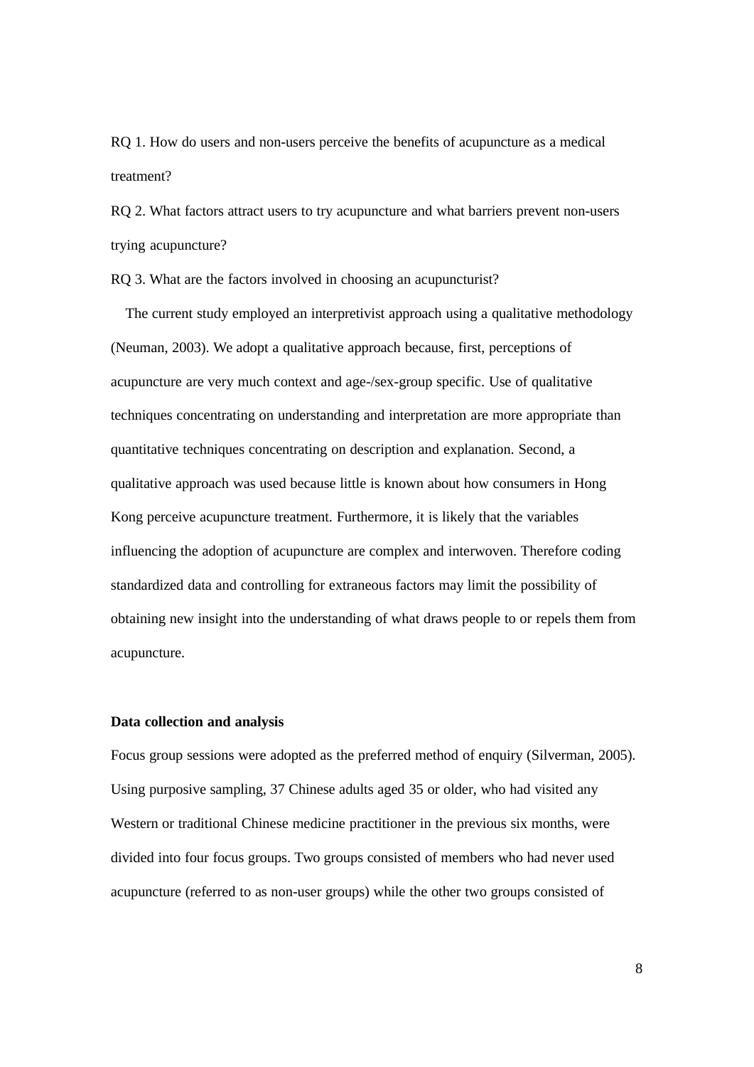RQ 1. How do users and non-users perceive the benefits of acupuncture as a medical treatment?

RQ 2. What factors attract users to try acupuncture and what barriers prevent non-users trying acupuncture?

RQ 3. What are the factors involved in choosing an acupuncturist?

The current study employed an interpretivist approach using a qualitative methodology (Neuman, 2003). We adopt a qualitative approach because, first, perceptions of acupuncture are very much context and age-/sex-group specific. Use of qualitative techniques concentrating on understanding and interpretation are more appropriate than quantitative techniques concentrating on description and explanation. Second, a qualitative approach was used because little is known about how consumers in Hong Kong perceive acupuncture treatment. Furthermore, it is likely that the variables influencing the adoption of acupuncture are complex and interwoven. Therefore coding standardized data and controlling for extraneous factors may limit the possibility of obtaining new insight into the understanding of what draws people to or repels them from acupuncture.

#### **Data collection and analysis**

Focus group sessions were adopted as the preferred method of enquiry (Silverman, 2005). Using purposive sampling, 37 Chinese adults aged 35 or older, who had visited any Western or traditional Chinese medicine practitioner in the previous six months, were divided into four focus groups. Two groups consisted of members who had never used acupuncture (referred to as non-user groups) while the other two groups consisted of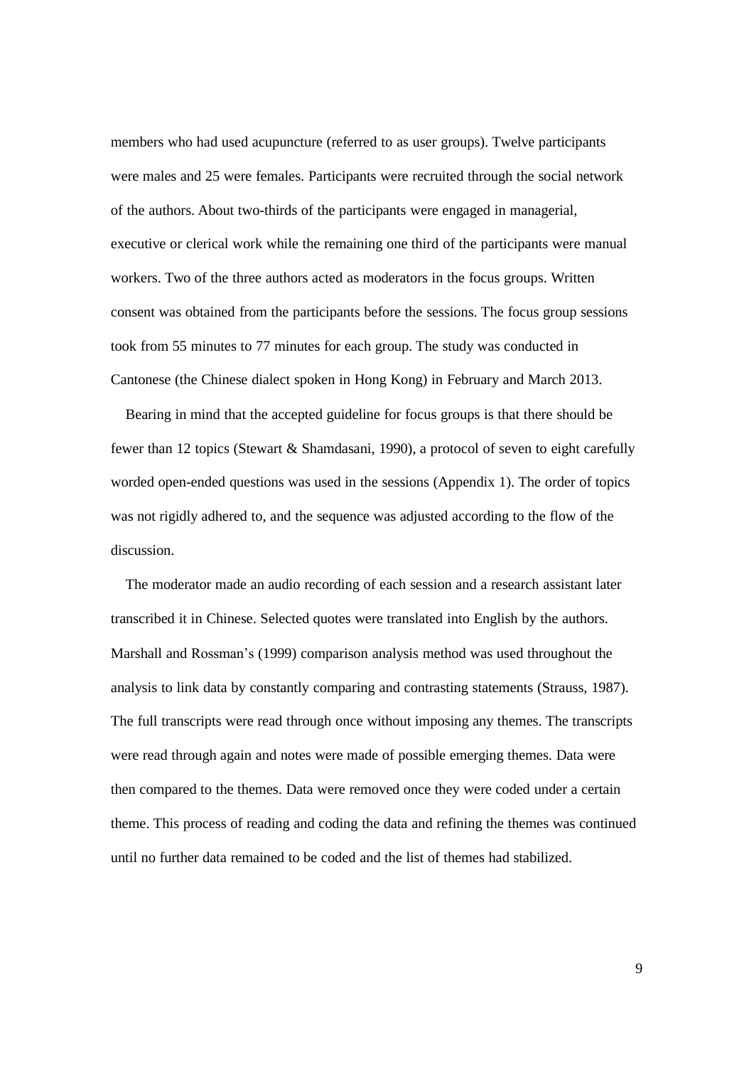members who had used acupuncture (referred to as user groups). Twelve participants were males and 25 were females. Participants were recruited through the social network of the authors. About two-thirds of the participants were engaged in managerial, executive or clerical work while the remaining one third of the participants were manual workers. Two of the three authors acted as moderators in the focus groups. Written consent was obtained from the participants before the sessions. The focus group sessions took from 55 minutes to 77 minutes for each group. The study was conducted in Cantonese (the Chinese dialect spoken in Hong Kong) in February and March 2013.

Bearing in mind that the accepted guideline for focus groups is that there should be fewer than 12 topics (Stewart & Shamdasani, 1990), a protocol of seven to eight carefully worded open-ended questions was used in the sessions (Appendix 1). The order of topics was not rigidly adhered to, and the sequence was adjusted according to the flow of the discussion.

The moderator made an audio recording of each session and a research assistant later transcribed it in Chinese. Selected quotes were translated into English by the authors. Marshall and Rossman's (1999) comparison analysis method was used throughout the analysis to link data by constantly comparing and contrasting statements (Strauss, 1987). The full transcripts were read through once without imposing any themes. The transcripts were read through again and notes were made of possible emerging themes. Data were then compared to the themes. Data were removed once they were coded under a certain theme. This process of reading and coding the data and refining the themes was continued until no further data remained to be coded and the list of themes had stabilized.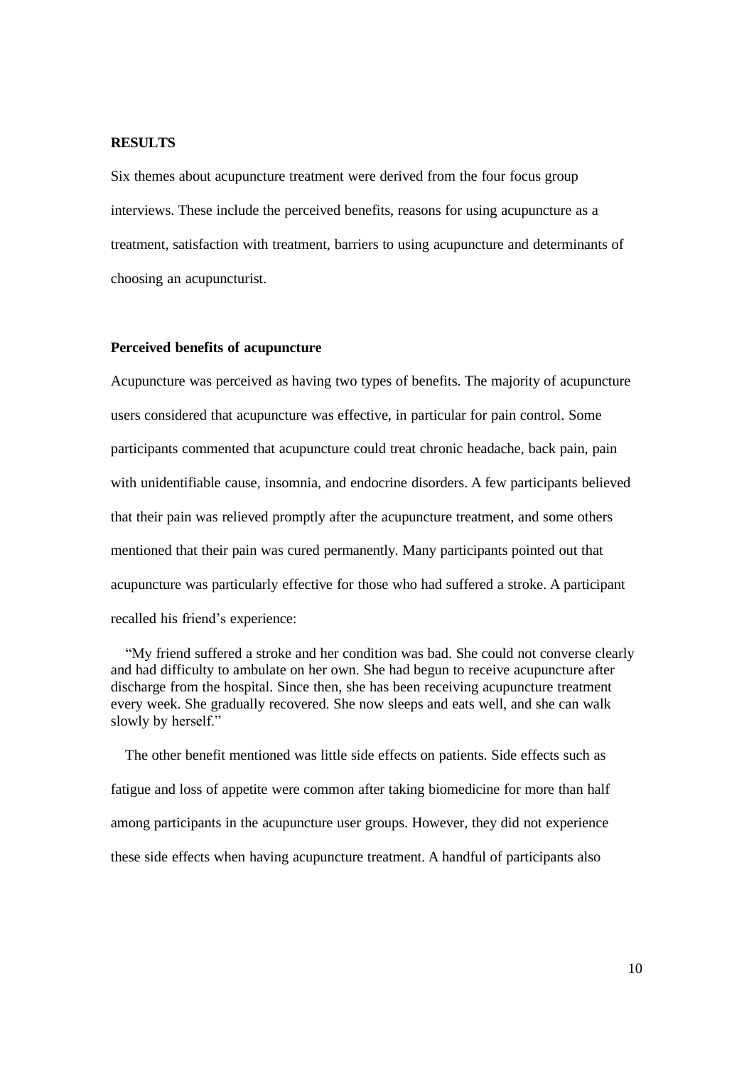#### **RESULTS**

Six themes about acupuncture treatment were derived from the four focus group interviews. These include the perceived benefits, reasons for using acupuncture as a treatment, satisfaction with treatment, barriers to using acupuncture and determinants of choosing an acupuncturist.

# **Perceived benefits of acupuncture**

Acupuncture was perceived as having two types of benefits. The majority of acupuncture users considered that acupuncture was effective, in particular for pain control. Some participants commented that acupuncture could treat chronic headache, back pain, pain with unidentifiable cause, insomnia, and endocrine disorders. A few participants believed that their pain was relieved promptly after the acupuncture treatment, and some others mentioned that their pain was cured permanently. Many participants pointed out that acupuncture was particularly effective for those who had suffered a stroke. A participant recalled his friend's experience:

"My friend suffered a stroke and her condition was bad. She could not converse clearly and had difficulty to ambulate on her own. She had begun to receive acupuncture after discharge from the hospital. Since then, she has been receiving acupuncture treatment every week. She gradually recovered. She now sleeps and eats well, and she can walk slowly by herself."

The other benefit mentioned was little side effects on patients. Side effects such as fatigue and loss of appetite were common after taking biomedicine for more than half among participants in the acupuncture user groups. However, they did not experience these side effects when having acupuncture treatment. A handful of participants also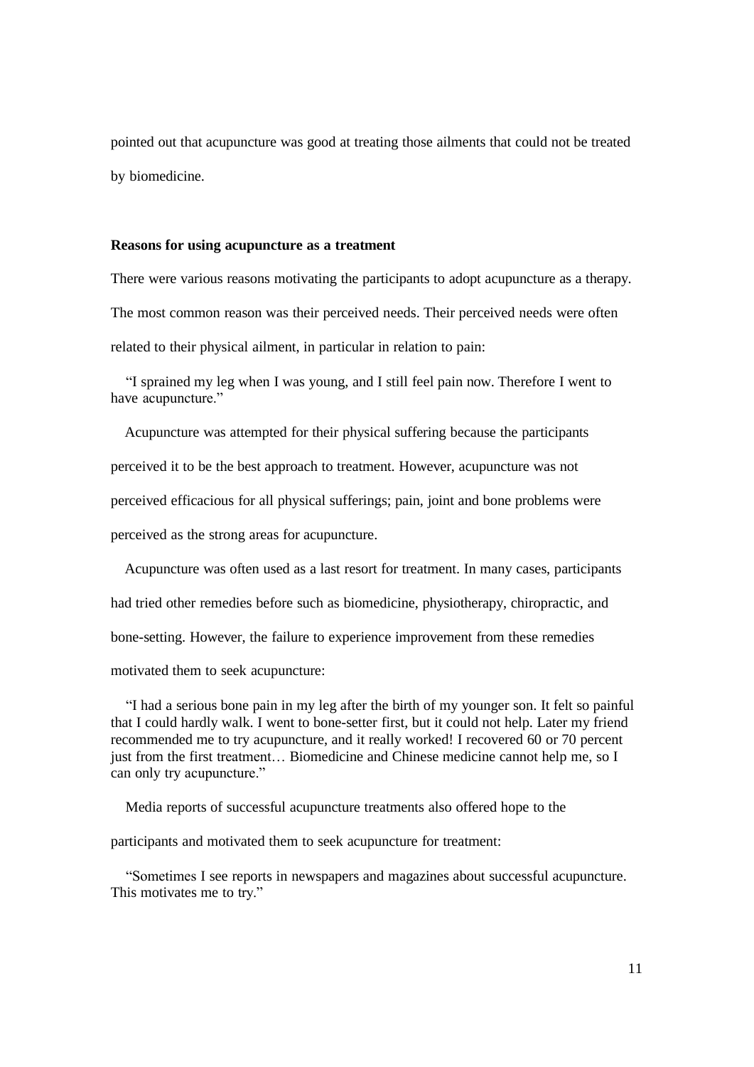pointed out that acupuncture was good at treating those ailments that could not be treated by biomedicine.

#### **Reasons for using acupuncture as a treatment**

There were various reasons motivating the participants to adopt acupuncture as a therapy. The most common reason was their perceived needs. Their perceived needs were often related to their physical ailment, in particular in relation to pain:

"I sprained my leg when I was young, and I still feel pain now. Therefore I went to have acupuncture."

Acupuncture was attempted for their physical suffering because the participants perceived it to be the best approach to treatment. However, acupuncture was not perceived efficacious for all physical sufferings; pain, joint and bone problems were perceived as the strong areas for acupuncture.

Acupuncture was often used as a last resort for treatment. In many cases, participants had tried other remedies before such as biomedicine, physiotherapy, chiropractic, and bone-setting. However, the failure to experience improvement from these remedies motivated them to seek acupuncture:

"I had a serious bone pain in my leg after the birth of my younger son. It felt so painful that I could hardly walk. I went to bone-setter first, but it could not help. Later my friend recommended me to try acupuncture, and it really worked! I recovered 60 or 70 percent just from the first treatment… Biomedicine and Chinese medicine cannot help me, so I can only try acupuncture."

Media reports of successful acupuncture treatments also offered hope to the

participants and motivated them to seek acupuncture for treatment:

"Sometimes I see reports in newspapers and magazines about successful acupuncture. This motivates me to try."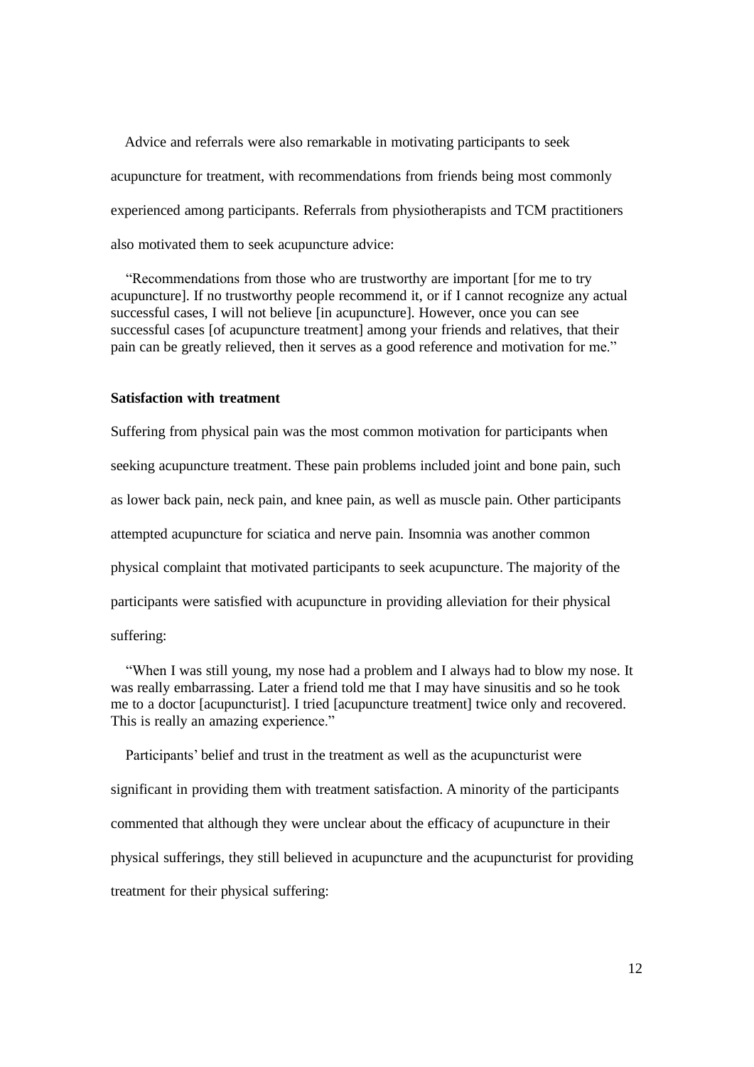Advice and referrals were also remarkable in motivating participants to seek acupuncture for treatment, with recommendations from friends being most commonly experienced among participants. Referrals from physiotherapists and TCM practitioners also motivated them to seek acupuncture advice:

"Recommendations from those who are trustworthy are important [for me to try acupuncture]. If no trustworthy people recommend it, or if I cannot recognize any actual successful cases, I will not believe [in acupuncture]. However, once you can see successful cases [of acupuncture treatment] among your friends and relatives, that their pain can be greatly relieved, then it serves as a good reference and motivation for me."

#### **Satisfaction with treatment**

Suffering from physical pain was the most common motivation for participants when seeking acupuncture treatment. These pain problems included joint and bone pain, such as lower back pain, neck pain, and knee pain, as well as muscle pain. Other participants attempted acupuncture for sciatica and nerve pain. Insomnia was another common physical complaint that motivated participants to seek acupuncture. The majority of the participants were satisfied with acupuncture in providing alleviation for their physical suffering:

"When I was still young, my nose had a problem and I always had to blow my nose. It was really embarrassing. Later a friend told me that I may have sinusitis and so he took me to a doctor [acupuncturist]. I tried [acupuncture treatment] twice only and recovered. This is really an amazing experience."

Participants' belief and trust in the treatment as well as the acupuncturist were significant in providing them with treatment satisfaction. A minority of the participants commented that although they were unclear about the efficacy of acupuncture in their physical sufferings, they still believed in acupuncture and the acupuncturist for providing treatment for their physical suffering: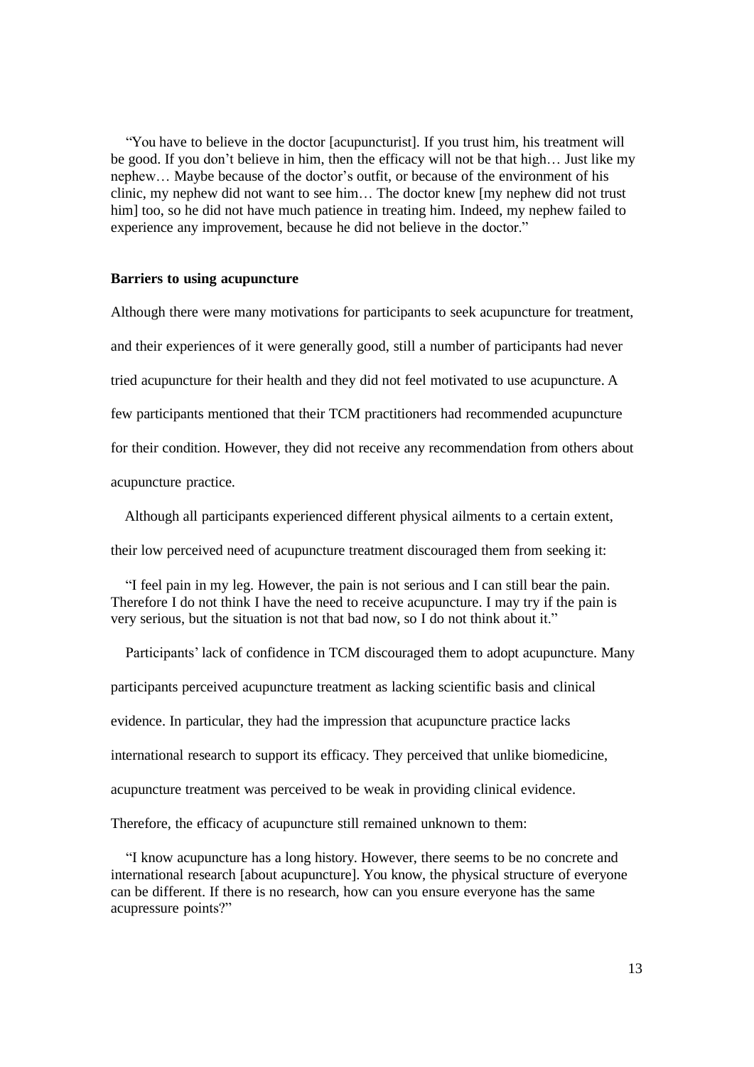"You have to believe in the doctor [acupuncturist]. If you trust him, his treatment will be good. If you don't believe in him, then the efficacy will not be that high… Just like my nephew… Maybe because of the doctor's outfit, or because of the environment of his clinic, my nephew did not want to see him… The doctor knew [my nephew did not trust him] too, so he did not have much patience in treating him. Indeed, my nephew failed to experience any improvement, because he did not believe in the doctor."

# **Barriers to using acupuncture**

Although there were many motivations for participants to seek acupuncture for treatment, and their experiences of it were generally good, still a number of participants had never tried acupuncture for their health and they did not feel motivated to use acupuncture. A few participants mentioned that their TCM practitioners had recommended acupuncture for their condition. However, they did not receive any recommendation from others about acupuncture practice.

Although all participants experienced different physical ailments to a certain extent, their low perceived need of acupuncture treatment discouraged them from seeking it:

"I feel pain in my leg. However, the pain is not serious and I can still bear the pain. Therefore I do not think I have the need to receive acupuncture. I may try if the pain is very serious, but the situation is not that bad now, so I do not think about it."

Participants' lack of confidence in TCM discouraged them to adopt acupuncture. Many participants perceived acupuncture treatment as lacking scientific basis and clinical evidence. In particular, they had the impression that acupuncture practice lacks international research to support its efficacy. They perceived that unlike biomedicine, acupuncture treatment was perceived to be weak in providing clinical evidence. Therefore, the efficacy of acupuncture still remained unknown to them:

"I know acupuncture has a long history. However, there seems to be no concrete and international research [about acupuncture]. You know, the physical structure of everyone can be different. If there is no research, how can you ensure everyone has the same acupressure points?"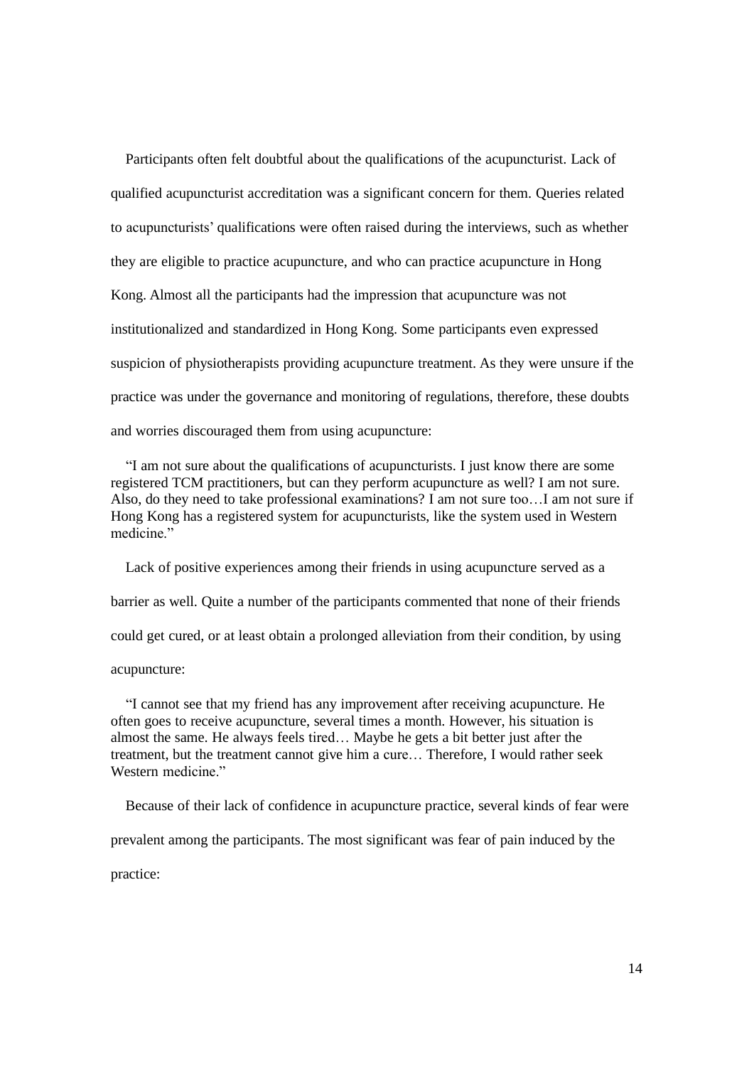Participants often felt doubtful about the qualifications of the acupuncturist. Lack of qualified acupuncturist accreditation was a significant concern for them. Queries related to acupuncturists' qualifications were often raised during the interviews, such as whether they are eligible to practice acupuncture, and who can practice acupuncture in Hong Kong. Almost all the participants had the impression that acupuncture was not institutionalized and standardized in Hong Kong. Some participants even expressed suspicion of physiotherapists providing acupuncture treatment. As they were unsure if the practice was under the governance and monitoring of regulations, therefore, these doubts and worries discouraged them from using acupuncture:

"I am not sure about the qualifications of acupuncturists. I just know there are some registered TCM practitioners, but can they perform acupuncture as well? I am not sure. Also, do they need to take professional examinations? I am not sure too…I am not sure if Hong Kong has a registered system for acupuncturists, like the system used in Western medicine."

Lack of positive experiences among their friends in using acupuncture served as a barrier as well. Quite a number of the participants commented that none of their friends could get cured, or at least obtain a prolonged alleviation from their condition, by using acupuncture:

"I cannot see that my friend has any improvement after receiving acupuncture. He often goes to receive acupuncture, several times a month. However, his situation is almost the same. He always feels tired… Maybe he gets a bit better just after the treatment, but the treatment cannot give him a cure… Therefore, I would rather seek Western medicine."

Because of their lack of confidence in acupuncture practice, several kinds of fear were

prevalent among the participants. The most significant was fear of pain induced by the

practice: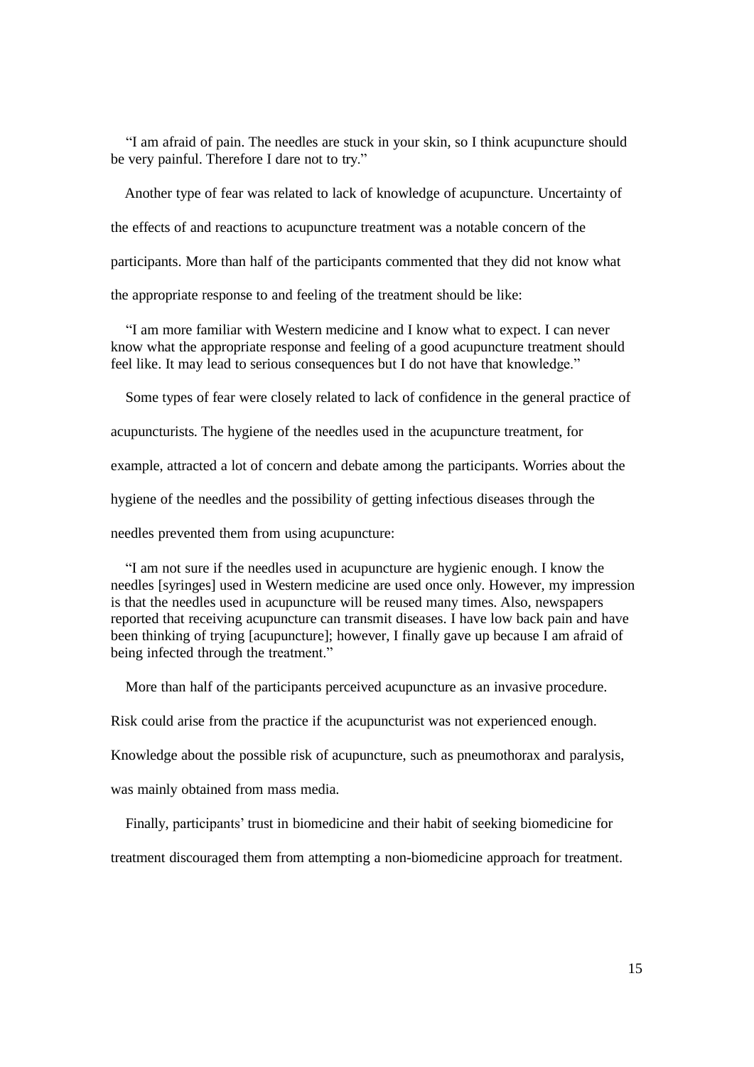"I am afraid of pain. The needles are stuck in your skin, so I think acupuncture should be very painful. Therefore I dare not to try."

Another type of fear was related to lack of knowledge of acupuncture. Uncertainty of the effects of and reactions to acupuncture treatment was a notable concern of the participants. More than half of the participants commented that they did not know what the appropriate response to and feeling of the treatment should be like:

"I am more familiar with Western medicine and I know what to expect. I can never know what the appropriate response and feeling of a good acupuncture treatment should feel like. It may lead to serious consequences but I do not have that knowledge."

Some types of fear were closely related to lack of confidence in the general practice of acupuncturists. The hygiene of the needles used in the acupuncture treatment, for example, attracted a lot of concern and debate among the participants. Worries about the hygiene of the needles and the possibility of getting infectious diseases through the needles prevented them from using acupuncture:

"I am not sure if the needles used in acupuncture are hygienic enough. I know the needles [syringes] used in Western medicine are used once only. However, my impression is that the needles used in acupuncture will be reused many times. Also, newspapers reported that receiving acupuncture can transmit diseases. I have low back pain and have been thinking of trying [acupuncture]; however, I finally gave up because I am afraid of being infected through the treatment."

More than half of the participants perceived acupuncture as an invasive procedure.

Risk could arise from the practice if the acupuncturist was not experienced enough.

Knowledge about the possible risk of acupuncture, such as pneumothorax and paralysis,

was mainly obtained from mass media.

Finally, participants' trust in biomedicine and their habit of seeking biomedicine for

treatment discouraged them from attempting a non-biomedicine approach for treatment.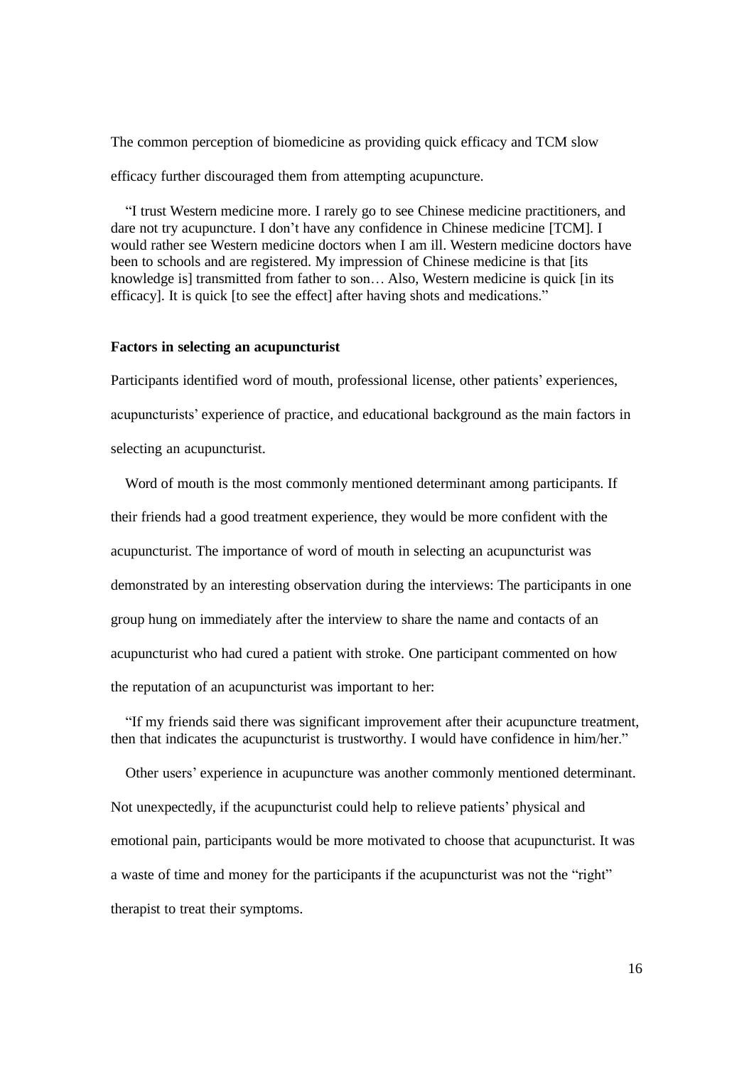The common perception of biomedicine as providing quick efficacy and TCM slow efficacy further discouraged them from attempting acupuncture.

"I trust Western medicine more. I rarely go to see Chinese medicine practitioners, and dare not try acupuncture. I don't have any confidence in Chinese medicine [TCM]. I would rather see Western medicine doctors when I am ill. Western medicine doctors have been to schools and are registered. My impression of Chinese medicine is that [its knowledge is] transmitted from father to son… Also, Western medicine is quick [in its efficacy]. It is quick [to see the effect] after having shots and medications."

#### **Factors in selecting an acupuncturist**

Participants identified word of mouth, professional license, other patients' experiences, acupuncturists' experience of practice, and educational background as the main factors in selecting an acupuncturist.

Word of mouth is the most commonly mentioned determinant among participants. If their friends had a good treatment experience, they would be more confident with the acupuncturist. The importance of word of mouth in selecting an acupuncturist was demonstrated by an interesting observation during the interviews: The participants in one group hung on immediately after the interview to share the name and contacts of an acupuncturist who had cured a patient with stroke. One participant commented on how the reputation of an acupuncturist was important to her:

"If my friends said there was significant improvement after their acupuncture treatment, then that indicates the acupuncturist is trustworthy. I would have confidence in him/her."

Other users' experience in acupuncture was another commonly mentioned determinant. Not unexpectedly, if the acupuncturist could help to relieve patients' physical and emotional pain, participants would be more motivated to choose that acupuncturist. It was a waste of time and money for the participants if the acupuncturist was not the "right" therapist to treat their symptoms.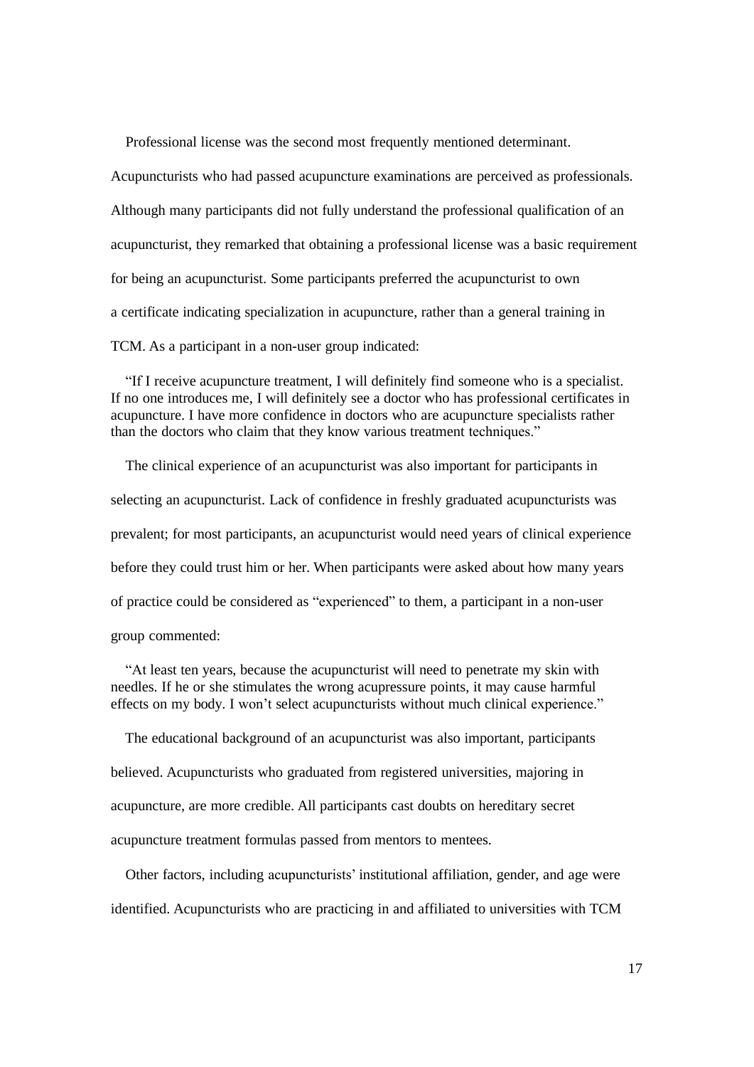Professional license was the second most frequently mentioned determinant.

Acupuncturists who had passed acupuncture examinations are perceived as professionals. Although many participants did not fully understand the professional qualification of an acupuncturist, they remarked that obtaining a professional license was a basic requirement for being an acupuncturist. Some participants preferred the acupuncturist to own a certificate indicating specialization in acupuncture, rather than a general training in TCM. As a participant in a non-user group indicated:

"If I receive acupuncture treatment, I will definitely find someone who is a specialist. If no one introduces me, I will definitely see a doctor who has professional certificates in acupuncture. I have more confidence in doctors who are acupuncture specialists rather than the doctors who claim that they know various treatment techniques."

The clinical experience of an acupuncturist was also important for participants in selecting an acupuncturist. Lack of confidence in freshly graduated acupuncturists was prevalent; for most participants, an acupuncturist would need years of clinical experience before they could trust him or her. When participants were asked about how many years of practice could be considered as "experienced" to them, a participant in a non-user group commented:

"At least ten years, because the acupuncturist will need to penetrate my skin with needles. If he or she stimulates the wrong acupressure points, it may cause harmful effects on my body. I won't select acupuncturists without much clinical experience."

The educational background of an acupuncturist was also important, participants believed. Acupuncturists who graduated from registered universities, majoring in acupuncture, are more credible. All participants cast doubts on hereditary secret acupuncture treatment formulas passed from mentors to mentees.

Other factors, including acupuncturists' institutional affiliation, gender, and age were identified. Acupuncturists who are practicing in and affiliated to universities with TCM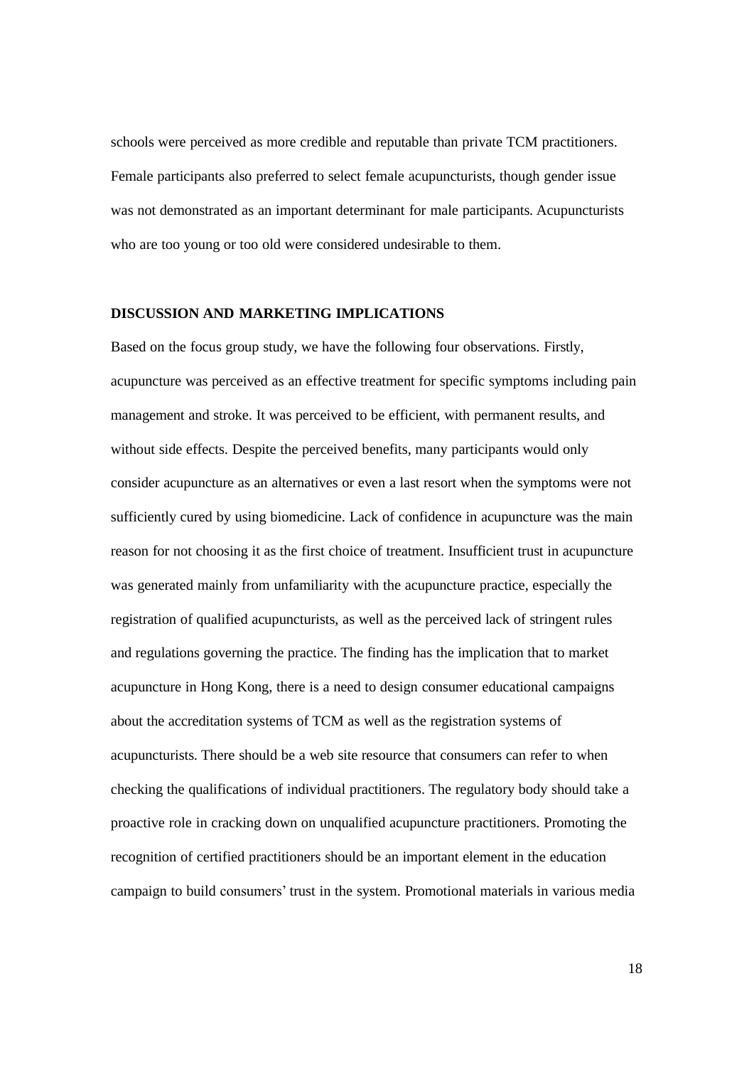schools were perceived as more credible and reputable than private TCM practitioners. Female participants also preferred to select female acupuncturists, though gender issue was not demonstrated as an important determinant for male participants. Acupuncturists who are too young or too old were considered undesirable to them.

# **DISCUSSION AND MARKETING IMPLICATIONS**

Based on the focus group study, we have the following four observations. Firstly, acupuncture was perceived as an effective treatment for specific symptoms including pain management and stroke. It was perceived to be efficient, with permanent results, and without side effects. Despite the perceived benefits, many participants would only consider acupuncture as an alternatives or even a last resort when the symptoms were not sufficiently cured by using biomedicine. Lack of confidence in acupuncture was the main reason for not choosing it as the first choice of treatment. Insufficient trust in acupuncture was generated mainly from unfamiliarity with the acupuncture practice, especially the registration of qualified acupuncturists, as well as the perceived lack of stringent rules and regulations governing the practice. The finding has the implication that to market acupuncture in Hong Kong, there is a need to design consumer educational campaigns about the accreditation systems of TCM as well as the registration systems of acupuncturists. There should be a web site resource that consumers can refer to when checking the qualifications of individual practitioners. The regulatory body should take a proactive role in cracking down on unqualified acupuncture practitioners. Promoting the recognition of certified practitioners should be an important element in the education campaign to build consumers' trust in the system. Promotional materials in various media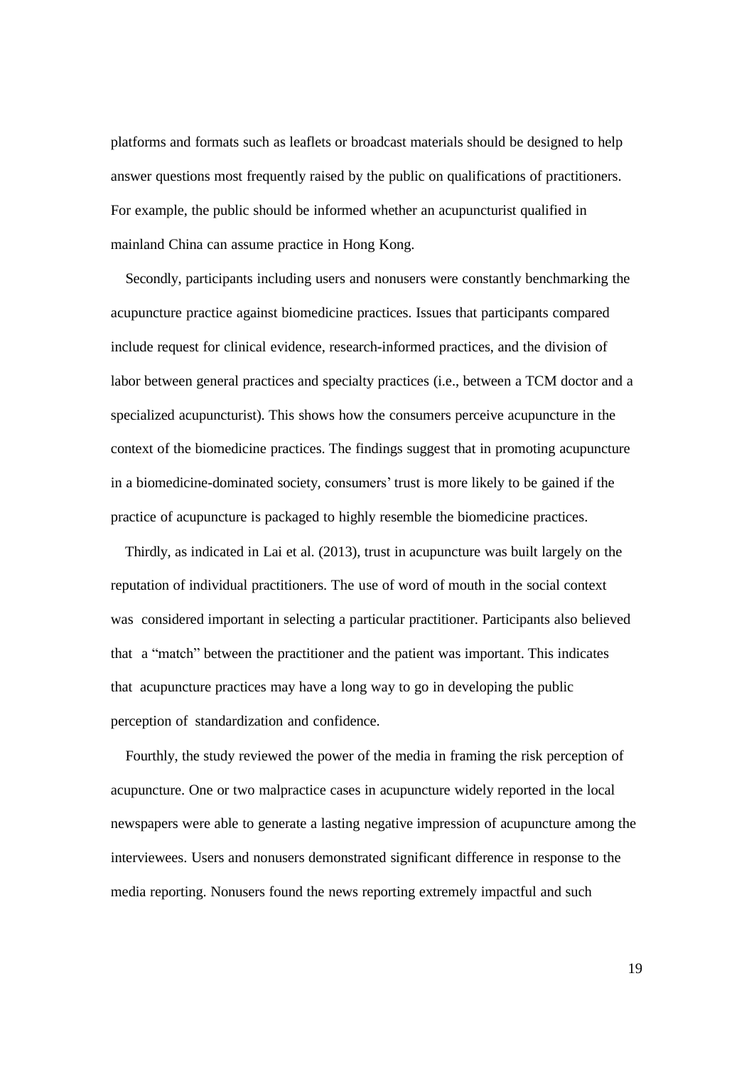platforms and formats such as leaflets or broadcast materials should be designed to help answer questions most frequently raised by the public on qualifications of practitioners. For example, the public should be informed whether an acupuncturist qualified in mainland China can assume practice in Hong Kong.

Secondly, participants including users and nonusers were constantly benchmarking the acupuncture practice against biomedicine practices. Issues that participants compared include request for clinical evidence, research-informed practices, and the division of labor between general practices and specialty practices (i.e., between a TCM doctor and a specialized acupuncturist). This shows how the consumers perceive acupuncture in the context of the biomedicine practices. The findings suggest that in promoting acupuncture in a biomedicine-dominated society, consumers' trust is more likely to be gained if the practice of acupuncture is packaged to highly resemble the biomedicine practices.

Thirdly, as indicated in Lai et al. (2013), trust in acupuncture was built largely on the reputation of individual practitioners. The use of word of mouth in the social context was considered important in selecting a particular practitioner. Participants also believed that a "match" between the practitioner and the patient was important. This indicates that acupuncture practices may have a long way to go in developing the public perception of standardization and confidence.

Fourthly, the study reviewed the power of the media in framing the risk perception of acupuncture. One or two malpractice cases in acupuncture widely reported in the local newspapers were able to generate a lasting negative impression of acupuncture among the interviewees. Users and nonusers demonstrated significant difference in response to the media reporting. Nonusers found the news reporting extremely impactful and such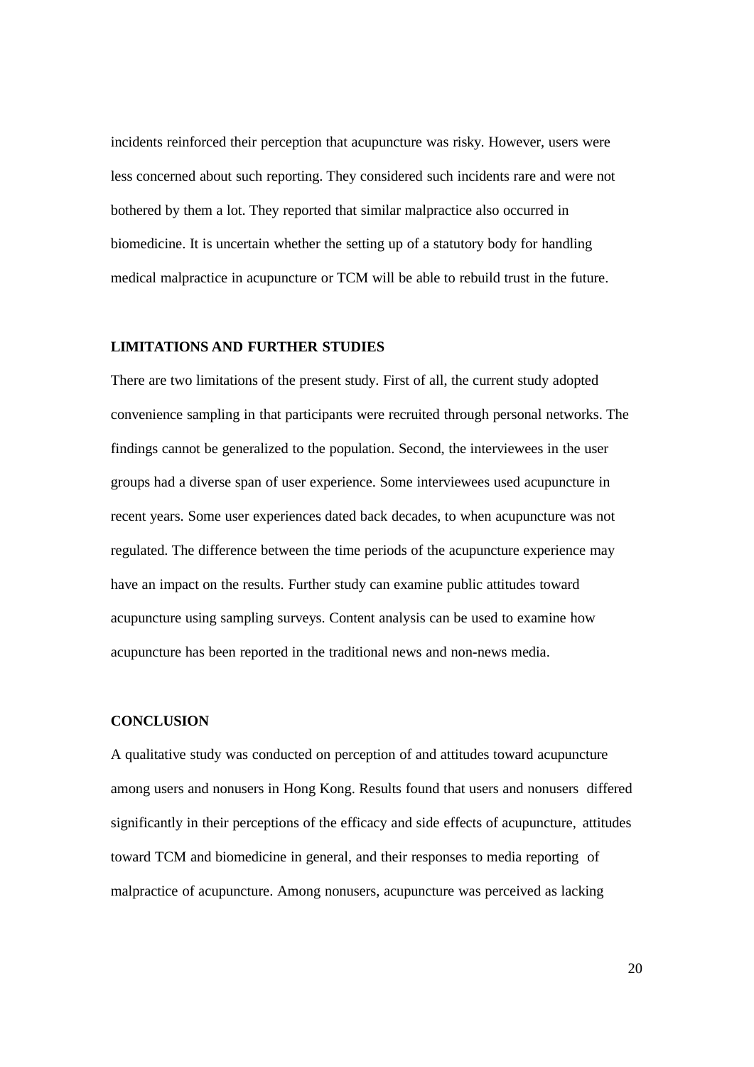incidents reinforced their perception that acupuncture was risky. However, users were less concerned about such reporting. They considered such incidents rare and were not bothered by them a lot. They reported that similar malpractice also occurred in biomedicine. It is uncertain whether the setting up of a statutory body for handling medical malpractice in acupuncture or TCM will be able to rebuild trust in the future.

# **LIMITATIONS AND FURTHER STUDIES**

There are two limitations of the present study. First of all, the current study adopted convenience sampling in that participants were recruited through personal networks. The findings cannot be generalized to the population. Second, the interviewees in the user groups had a diverse span of user experience. Some interviewees used acupuncture in recent years. Some user experiences dated back decades, to when acupuncture was not regulated. The difference between the time periods of the acupuncture experience may have an impact on the results. Further study can examine public attitudes toward acupuncture using sampling surveys. Content analysis can be used to examine how acupuncture has been reported in the traditional news and non-news media.

### **CONCLUSION**

A qualitative study was conducted on perception of and attitudes toward acupuncture among users and nonusers in Hong Kong. Results found that users and nonusers differed significantly in their perceptions of the efficacy and side effects of acupuncture, attitudes toward TCM and biomedicine in general, and their responses to media reporting of malpractice of acupuncture. Among nonusers, acupuncture was perceived as lacking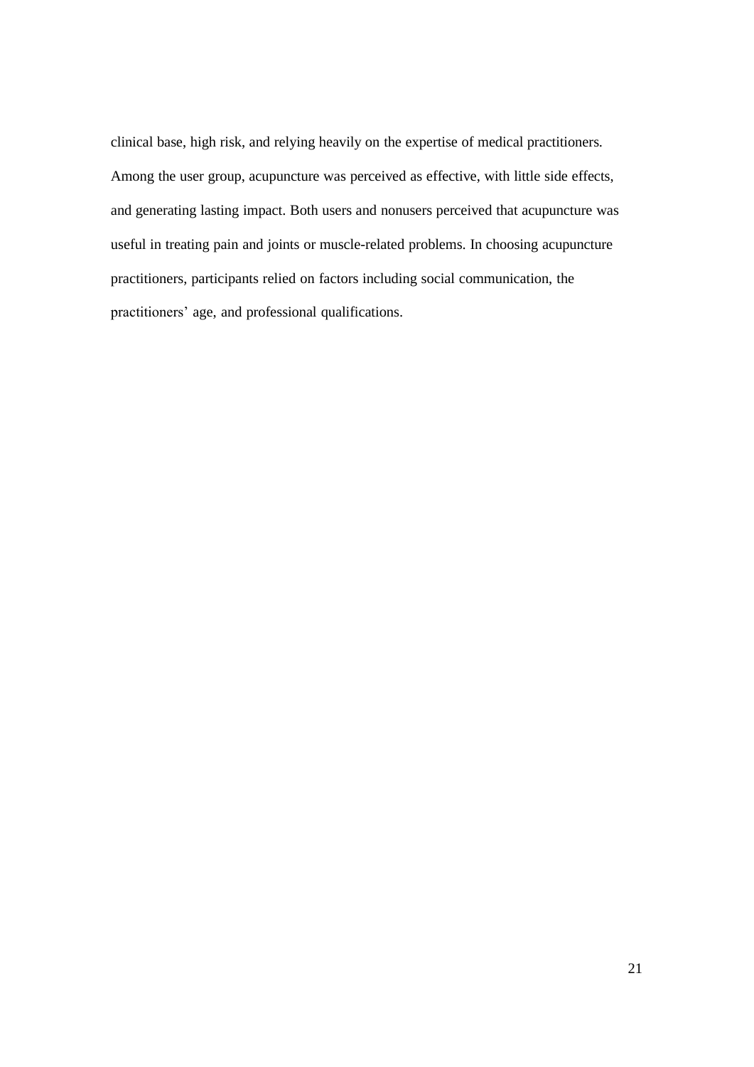clinical base, high risk, and relying heavily on the expertise of medical practitioners. Among the user group, acupuncture was perceived as effective, with little side effects, and generating lasting impact. Both users and nonusers perceived that acupuncture was useful in treating pain and joints or muscle-related problems. In choosing acupuncture practitioners, participants relied on factors including social communication, the practitioners' age, and professional qualifications.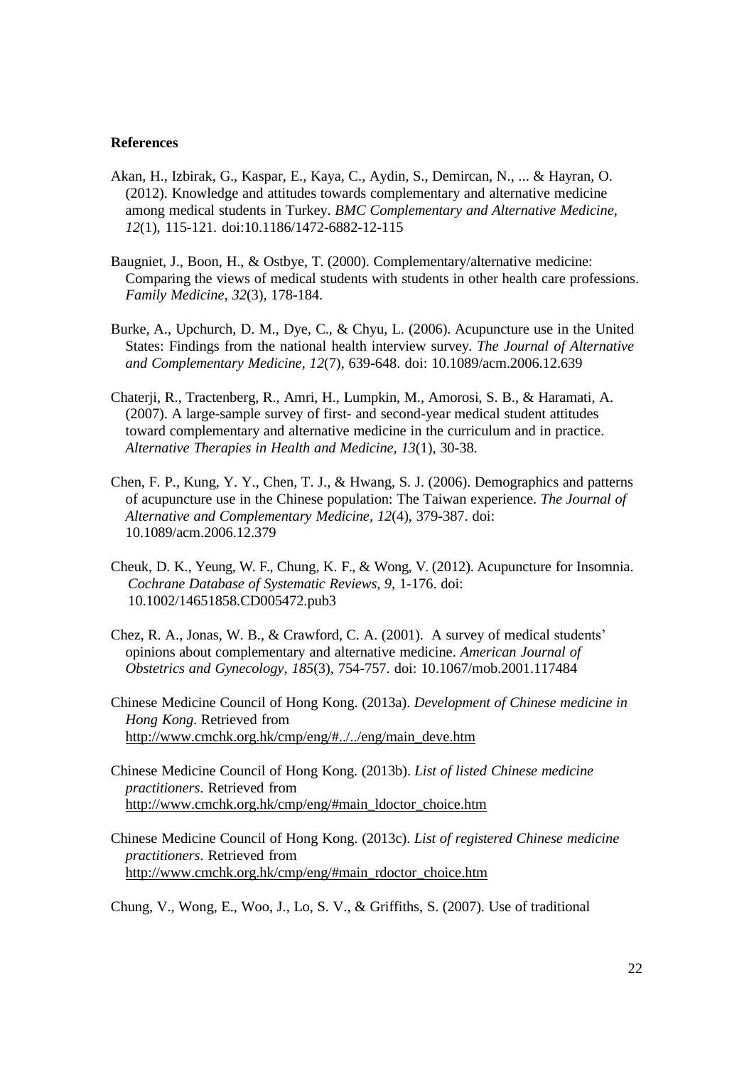#### **References**

- Akan, H., Izbirak, G., Kaspar, E., Kaya, C., Aydin, S., Demircan, N., ... & Hayran, O. (2012). Knowledge and attitudes towards complementary and alternative medicine among medical students in Turkey. *BMC Complementary and Alternative Medicine, 12*(1), 115-121. doi:10.1186/1472-6882-12-115
- Baugniet, J., Boon, H., & Ostbye, T. (2000). Complementary/alternative medicine: Comparing the views of medical students with students in other health care professions. *Family Medicine, 32*(3), 178-184.
- Burke, A., Upchurch, D. M., Dye, C., & Chyu, L. (2006). Acupuncture use in the United States: Findings from the national health interview survey. *The Journal of Alternative and Complementary Medicine, 12*(7), 639-648. doi: 10.1089/acm.2006.12.639
- Chaterji, R., Tractenberg, R., Amri, H., Lumpkin, M., Amorosi, S. B., & Haramati, A. (2007). A large-sample survey of first- and second-year medical student attitudes toward complementary and alternative medicine in the curriculum and in practice. *Alternative Therapies in Health and Medicine, 13*(1), 30-38.
- Chen, F. P., Kung, Y. Y., Chen, T. J., & Hwang, S. J. (2006). Demographics and patterns of acupuncture use in the Chinese population: The Taiwan experience. *The Journal of Alternative and Complementary Medicine, 12*(4), 379-387. doi: 10.1089/acm.2006.12.379
- Cheuk, D. K., Yeung, W. F., Chung, K. F., & Wong, V. (2012). Acupuncture for Insomnia. *Cochrane Database of Systematic Reviews, 9*, 1-176. doi: 10.1002/14651858.CD005472.pub3
- Chez, R. A., Jonas, W. B., & Crawford, C. A. (2001). A survey of medical students' opinions about complementary and alternative medicine. *American Journal of Obstetrics and Gynecology, 185*(3), 754-757. doi: 10.1067/mob.2001.117484
- Chinese Medicine Council of Hong Kong. (2013a). *Development of Chinese medicine in Hong Kong*. Retrieved from [http://www.cmchk.org.hk/cmp/eng/#../../eng/main\\_deve.htm](http://www.cmchk.org.hk/cmp/eng/eng/main_deve.htm)
- Chinese Medicine Council of Hong Kong. (2013b). *List of listed Chinese medicine practitioners*. Retrieved from [http://www.cmchk.org.hk/cmp/eng/#main\\_ldoctor\\_choice.htm](http://www.cmchk.org.hk/cmp/eng/#main_ldoctor_choice.htm)
- Chinese Medicine Council of Hong Kong. (2013c). *List of registered Chinese medicine practitioners*. Retrieved from [http://www.cmchk.org.hk/cmp/eng/#main\\_rdoctor\\_choice.htm](http://www.cmchk.org.hk/cmp/eng/#main_rdoctor_choice.htm)

Chung, V., Wong, E., Woo, J., Lo, S. V., & Griffiths, S. (2007). Use of traditional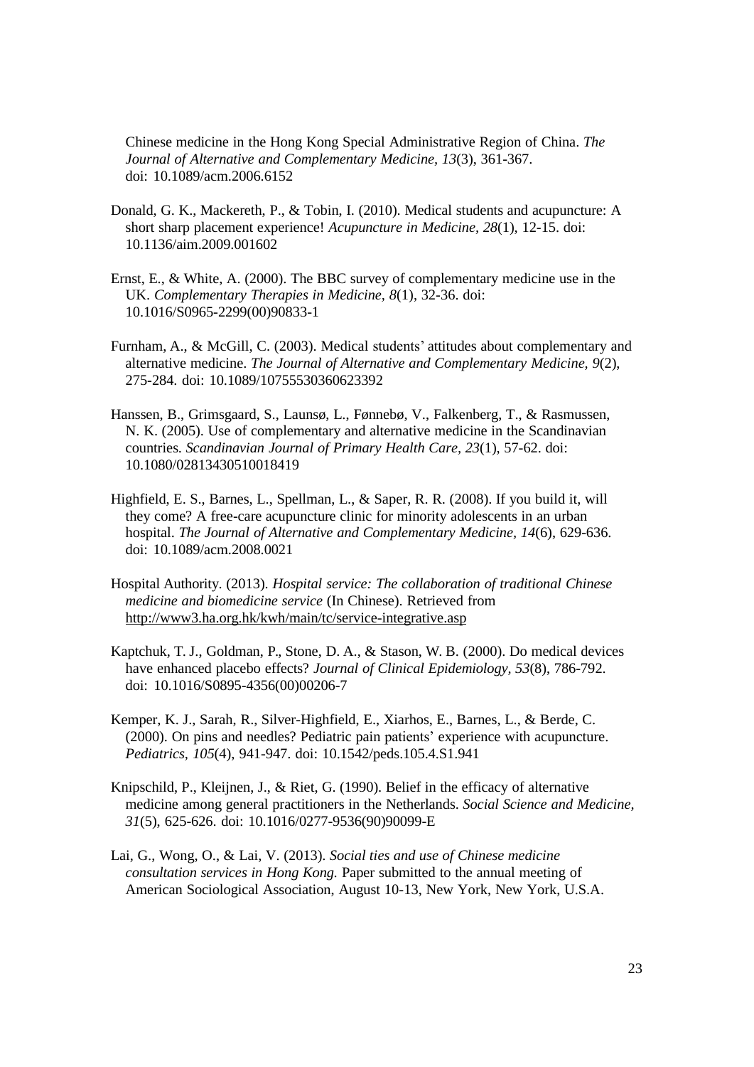Chinese medicine in the Hong Kong Special Administrative Region of China. *The Journal of Alternative and Complementary Medicine, 13*(3), 361-367. doi: 10.1089/acm.2006.6152

- Donald, G. K., Mackereth, P., & Tobin, I. (2010). Medical students and acupuncture: A short sharp placement experience! *Acupuncture in Medicine, 28*(1), 12-15. doi: 10.1136/aim.2009.001602
- Ernst, E., & White, A. (2000). The BBC survey of complementary medicine use in the UK. *Complementary Therapies in Medicine, 8*(1), 32-36. doi: 10.1016/S0965-2299(00)90833-1
- Furnham, A., & McGill, C. (2003). Medical students' attitudes about complementary and alternative medicine. *The Journal of Alternative and Complementary Medicine, 9*(2), 275-284. doi: 10.1089/10755530360623392
- Hanssen, B., Grimsgaard, S., Launsø, L., Fønnebø, V., Falkenberg, T., & Rasmussen, N. K. (2005). Use of complementary and alternative medicine in the Scandinavian countries. *Scandinavian Journal of Primary Health Care, 23*(1), 57-62. doi: 10.1080/02813430510018419
- Highfield, E. S., Barnes, L., Spellman, L., & Saper, R. R. (2008). If you build it, will they come? A free-care acupuncture clinic for minority adolescents in an urban hospital. *The Journal of Alternative and Complementary Medicine, 14*(6), 629-636. doi: 10.1089/acm.2008.0021
- Hospital Authority. (2013). *Hospital service: The collaboration of traditional Chinese medicine and biomedicine service* (In Chinese). Retrieved from <http://www3.ha.org.hk/kwh/main/tc/service-integrative.asp>
- Kaptchuk, T. J., Goldman, P., Stone, D. A., & Stason, W. B. (2000). Do medical devices have enhanced placebo effects? *Journal of Clinical Epidemiology, 53*(8), 786-792. doi: 10.1016/S0895-4356(00)00206-7
- Kemper, K. J., Sarah, R., Silver-Highfield, E., Xiarhos, E., Barnes, L., & Berde, C. (2000). On pins and needles? Pediatric pain patients' experience with acupuncture. *Pediatrics, 105*(4), 941-947. doi: 10.1542/peds.105.4.S1.941
- Knipschild, P., Kleijnen, J., & Riet, G. (1990). Belief in the efficacy of alternative medicine among general practitioners in the Netherlands. *Social Science and Medicine, 31*(5), 625-626. doi: 10.1016/0277-9536(90)90099-E
- Lai, G., Wong, O., & Lai, V. (2013). *Social ties and use of Chinese medicine consultation services in Hong Kong.* Paper submitted to the annual meeting of American Sociological Association, August 10-13, New York, New York, U.S.A.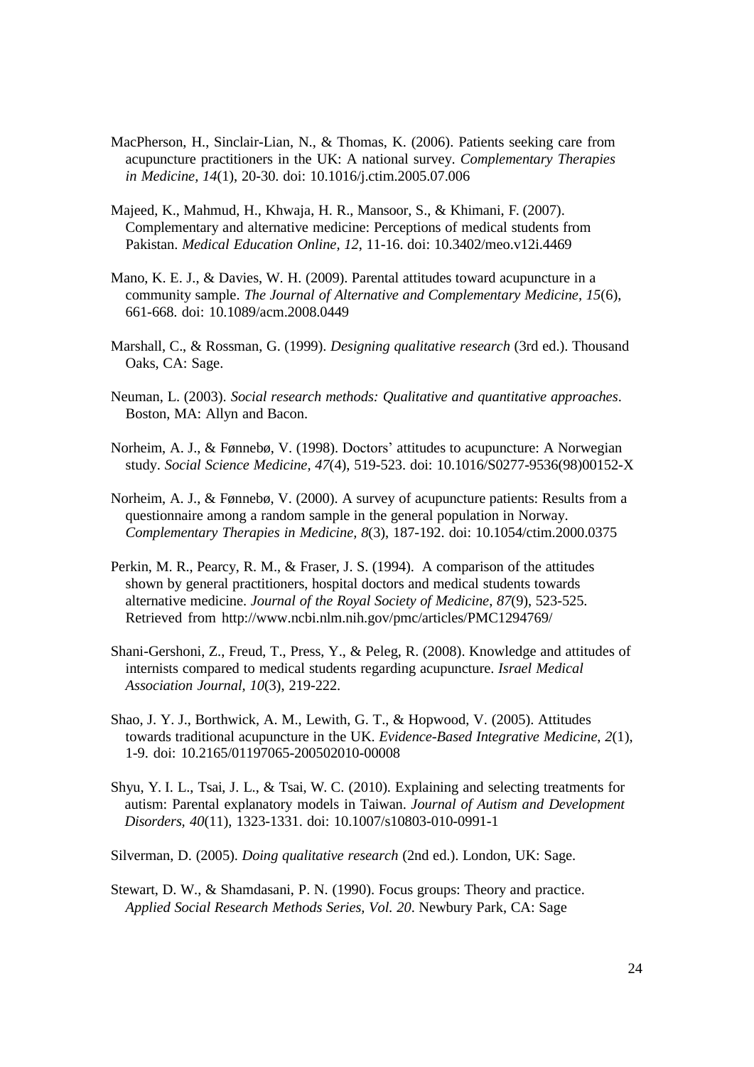- MacPherson, H., Sinclair-Lian, N., & Thomas, K. (2006). Patients seeking care from acupuncture practitioners in the UK: A national survey. *Complementary Therapies in Medicine, 14*(1), 20-30. doi: 10.1016/j.ctim.2005.07.006
- Majeed, K., Mahmud, H., Khwaja, H. R., Mansoor, S., & Khimani, F. (2007). Complementary and alternative medicine: Perceptions of medical students from Pakistan. *Medical Education Online, 12*, 11-16. doi: 10.3402/meo.v12i.4469
- Mano, K. E. J., & Davies, W. H. (2009). Parental attitudes toward acupuncture in a community sample. *The Journal of Alternative and Complementary Medicine, 15*(6), 661-668. doi: 10.1089/acm.2008.0449
- Marshall, C., & Rossman, G. (1999). *Designing qualitative research* (3rd ed.). Thousand Oaks, CA: Sage.
- Neuman, L. (2003). *Social research methods: Qualitative and quantitative approaches*. Boston, MA: Allyn and Bacon.
- Norheim, A. J., & Fønnebø, V. (1998). Doctors' attitudes to acupuncture: A Norwegian study. *Social Science Medicine, 47*(4), 519-523. doi: 10.1016/S0277-9536(98)00152-X
- Norheim, A. J., & Fønnebø, V. (2000). A survey of acupuncture patients: Results from a questionnaire among a random sample in the general population in Norway. *Complementary Therapies in Medicine, 8*(3), 187-192. doi: 10.1054/ctim.2000.0375
- Perkin, M. R., Pearcy, R. M., & Fraser, J. S. (1994). A comparison of the attitudes shown by general practitioners, hospital doctors and medical students towards alternative medicine. *Journal of the Royal Society of Medicine*, *87*(9), 523-525. Retrieved from <http://www.ncbi.nlm.nih.gov/pmc/articles/PMC1294769/>
- Shani-Gershoni, Z., Freud, T., Press, Y., & Peleg, R. (2008). Knowledge and attitudes of internists compared to medical students regarding acupuncture. *Israel Medical Association Journal, 10*(3), 219-222.
- Shao, J. Y. J., Borthwick, A. M., Lewith, G. T., & Hopwood, V. (2005). Attitudes towards traditional acupuncture in the UK. *Evidence*-*Based Integrative Medicine*, *2*(1), 1-9. doi: 10.2165/01197065-200502010-00008
- Shyu, Y. I. L., Tsai, J. L., & Tsai, W. C. (2010). Explaining and selecting treatments for autism: Parental explanatory models in Taiwan. *Journal of Autism and Development Disorders, 40*(11), 1323-1331. doi: 10.1007/s10803-010-0991-1

Silverman, D. (2005). *Doing qualitative research* (2nd ed.). London, UK: Sage.

Stewart, D. W., & Shamdasani, P. N. (1990). Focus groups: Theory and practice. *Applied Social Research Methods Series, Vol. 20*. Newbury Park, CA: Sage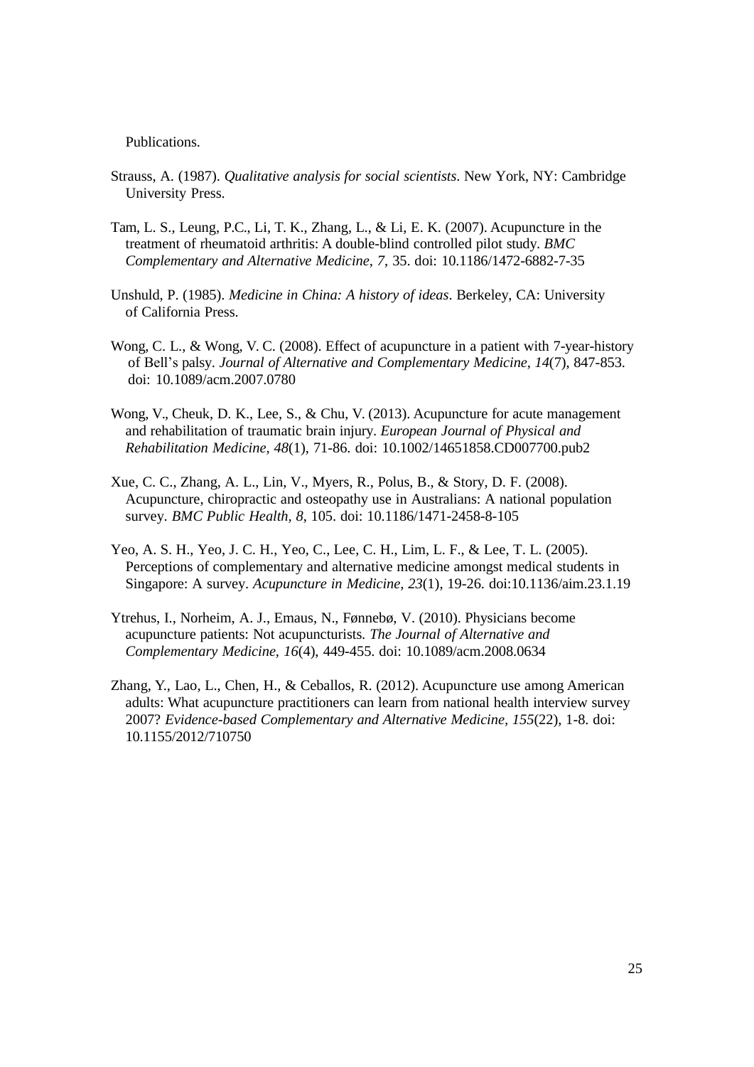#### Publications.

- Strauss, A. (1987). *Qualitative analysis for social scientists*. New York, NY: Cambridge University Press.
- Tam, L. S., Leung, P.C., Li, T. K., Zhang, L., & Li, E. K. (2007). Acupuncture in the treatment of rheumatoid arthritis: A double-blind controlled pilot study. *BMC Complementary and Alternative Medicine, 7*, 35. doi: 10.1186/1472-6882-7-35
- Unshuld, P. (1985). *Medicine in China: A history of ideas*. Berkeley, CA: University of California Press.
- Wong, C. L., & Wong, V. C. (2008). Effect of acupuncture in a patient with 7-year-history of Bell's palsy. *Journal of Alternative and Complementary Medicine, 14*(7), 847-853. doi: 10.1089/acm.2007.0780
- Wong, V., Cheuk, D. K., Lee, S., & Chu, V. (2013). Acupuncture for acute management and rehabilitation of traumatic brain injury. *European Journal of Physical and Rehabilitation Medicine, 48*(1), 71-86. doi: 10.1002/14651858.CD007700.pub2
- Xue, C. C., Zhang, A. L., Lin, V., Myers, R., Polus, B., & Story, D. F. (2008). Acupuncture, chiropractic and osteopathy use in Australians: A national population survey. *BMC Public Health, 8*, 105. doi: 10.1186/1471-2458-8-105
- Yeo, A. S. H., Yeo, J. C. H., Yeo, C., Lee, C. H., Lim, L. F., & Lee, T. L. (2005). Perceptions of complementary and alternative medicine amongst medical students in Singapore: A survey. *Acupuncture in Medicine, 23*(1), 19-26. doi:10.1136/aim.23.1.19
- Ytrehus, I., Norheim, A. J., Emaus, N., Fønnebø, V. (2010). Physicians become acupuncture patients: Not acupuncturists. *The Journal of Alternative and Complementary Medicine, 16*(4), 449-455. doi: 10.1089/acm.2008.0634
- Zhang, Y., Lao, L., Chen, H., & Ceballos, R. (2012). Acupuncture use among American adults: What acupuncture practitioners can learn from national health interview survey 2007? *Evidence-based Complementary and Alternative Medicine, 155*(22), 1-8. doi: 10.1155/2012/710750